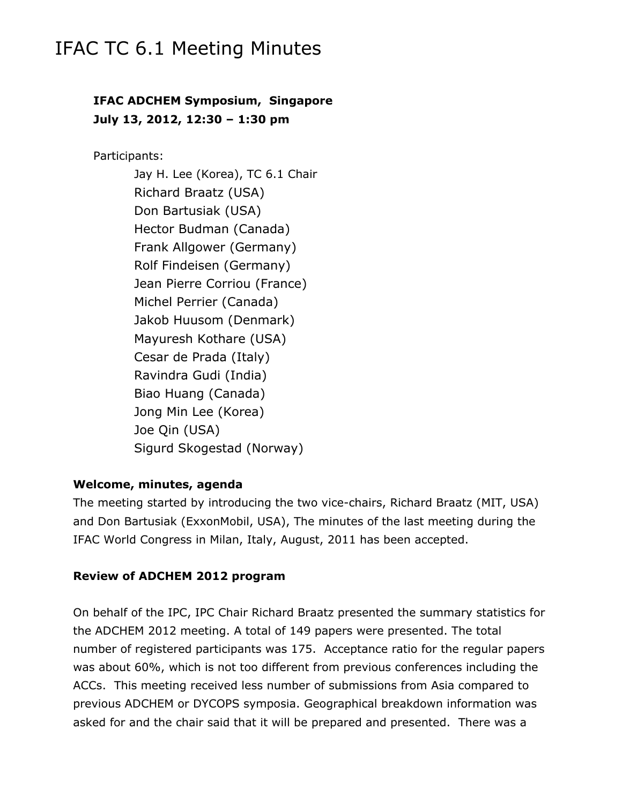# IFAC TC 6.1 Meeting Minutes

## **IFAC ADCHEM Symposium, Singapore July 13, 2012, 12:30 – 1:30 pm**

Participants:

Jay H. Lee (Korea), TC 6.1 Chair Richard Braatz (USA) Don Bartusiak (USA) Hector Budman (Canada) Frank Allgower (Germany) Rolf Findeisen (Germany) Jean Pierre Corriou (France) Michel Perrier (Canada) Jakob Huusom (Denmark) Mayuresh Kothare (USA) Cesar de Prada (Italy) Ravindra Gudi (India) Biao Huang (Canada) Jong Min Lee (Korea) Joe Qin (USA) Sigurd Skogestad (Norway)

## **Welcome, minutes, agenda**

The meeting started by introducing the two vice-chairs, Richard Braatz (MIT, USA) and Don Bartusiak (ExxonMobil, USA), The minutes of the last meeting during the IFAC World Congress in Milan, Italy, August, 2011 has been accepted.

### **Review of ADCHEM 2012 program**

On behalf of the IPC, IPC Chair Richard Braatz presented the summary statistics for the ADCHEM 2012 meeting. A total of 149 papers were presented. The total number of registered participants was 175. Acceptance ratio for the regular papers was about 60%, which is not too different from previous conferences including the ACCs. This meeting received less number of submissions from Asia compared to previous ADCHEM or DYCOPS symposia. Geographical breakdown information was asked for and the chair said that it will be prepared and presented. There was a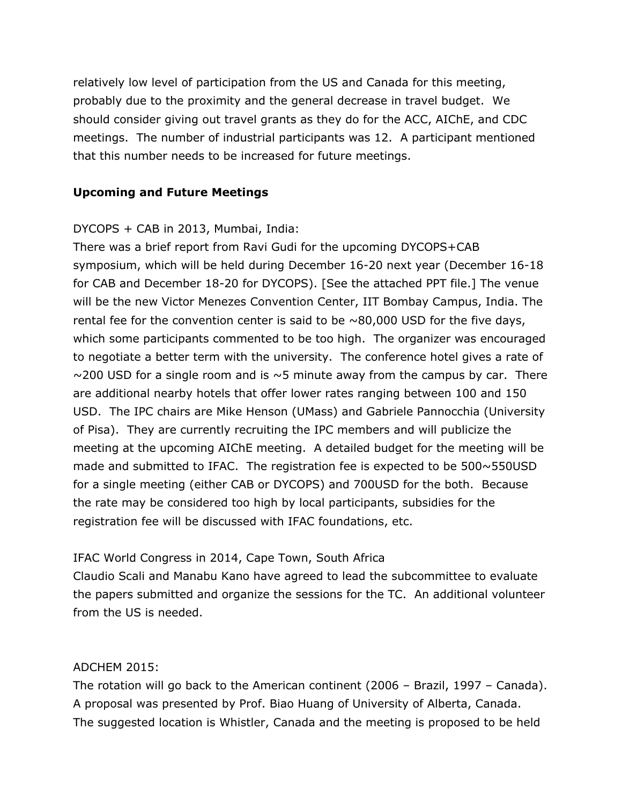relatively low level of participation from the US and Canada for this meeting, probably due to the proximity and the general decrease in travel budget. We should consider giving out travel grants as they do for the ACC, AIChE, and CDC meetings. The number of industrial participants was 12. A participant mentioned that this number needs to be increased for future meetings.

## **Upcoming and Future Meetings**

## DYCOPS + CAB in 2013, Mumbai, India:

There was a brief report from Ravi Gudi for the upcoming DYCOPS+CAB symposium, which will be held during December 16-20 next year (December 16-18 for CAB and December 18-20 for DYCOPS). [See the attached PPT file.] The venue will be the new Victor Menezes Convention Center, IIT Bombay Campus, India. The rental fee for the convention center is said to be  $\sim$ 80,000 USD for the five days, which some participants commented to be too high. The organizer was encouraged to negotiate a better term with the university. The conference hotel gives a rate of  $\sim$ 200 USD for a single room and is  $\sim$  5 minute away from the campus by car. There are additional nearby hotels that offer lower rates ranging between 100 and 150 USD. The IPC chairs are Mike Henson (UMass) and Gabriele Pannocchia (University of Pisa). They are currently recruiting the IPC members and will publicize the meeting at the upcoming AIChE meeting. A detailed budget for the meeting will be made and submitted to IFAC. The registration fee is expected to be 500~550USD for a single meeting (either CAB or DYCOPS) and 700USD for the both. Because the rate may be considered too high by local participants, subsidies for the registration fee will be discussed with IFAC foundations, etc.

## IFAC World Congress in 2014, Cape Town, South Africa

Claudio Scali and Manabu Kano have agreed to lead the subcommittee to evaluate the papers submitted and organize the sessions for the TC. An additional volunteer from the US is needed.

### ADCHEM 2015:

The rotation will go back to the American continent (2006 – Brazil, 1997 – Canada). A proposal was presented by Prof. Biao Huang of University of Alberta, Canada. The suggested location is Whistler, Canada and the meeting is proposed to be held